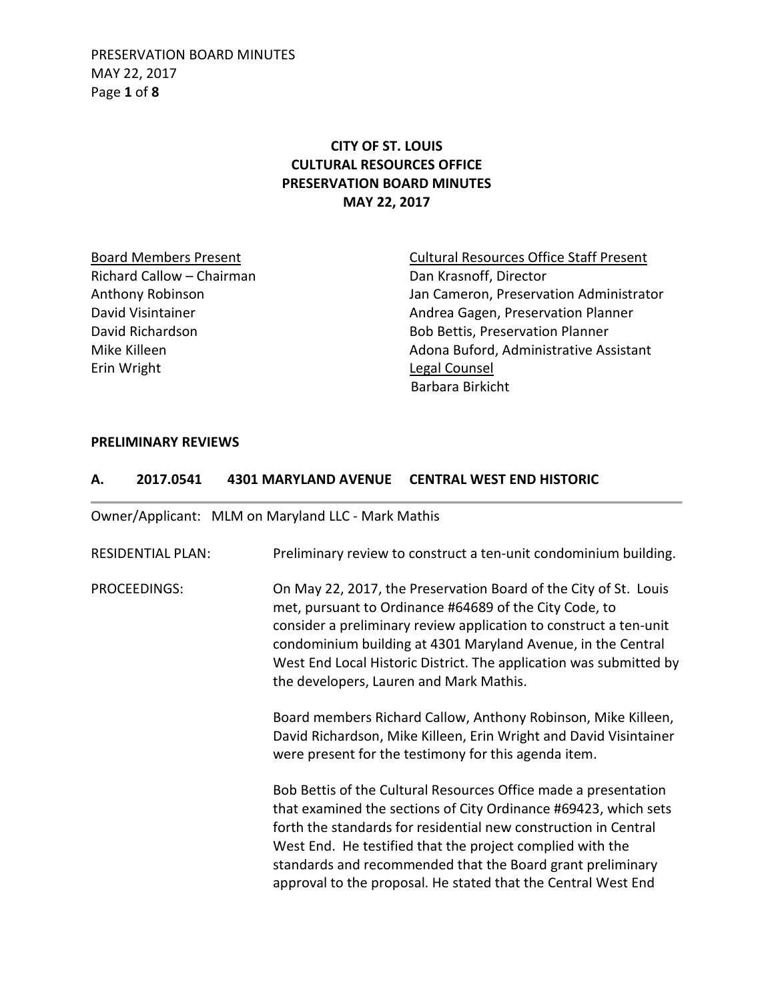PRESERVATION BOARD MINUTES MAY 22, 2017 Page **1** of **8**

# **CITY OF ST. LOUIS CULTURAL RESOURCES OFFICE PRESERVATION BOARD MINUTES MAY 22, 2017**

Richard Callow – Chairman Dan Krasnoff, Director Erin Wright **Legal Counsel** 

Board Members Present Cultural Resources Office Staff Present Anthony Robinson Jan Cameron, Preservation Administrator David Visintainer **Andrea Gagen, Preservation Planner** Andrea Gagen, Preservation Planner David Richardson Bob Bettis, Preservation Planner Mike Killeen **Adona Buford, Administrative Assistant** Barbara Birkicht

#### **PRELIMINARY REVIEWS**

#### **A. 2017.0541 4301 MARYLAND AVENUE CENTRAL WEST END HISTORIC**

Owner/Applicant: MLM on Maryland LLC - Mark Mathis RESIDENTIAL PLAN: Preliminary review to construct a ten-unit condominium building. PROCEEDINGS: On May 22, 2017, the Preservation Board of the City of St. Louis met, pursuant to Ordinance #64689 of the City Code, to consider a preliminary review application to construct a ten-unit condominium building at 4301 Maryland Avenue, in the Central West End Local Historic District. The application was submitted by the developers, Lauren and Mark Mathis. Board members Richard Callow, Anthony Robinson, Mike Killeen, David Richardson, Mike Killeen, Erin Wright and David Visintainer were present for the testimony for this agenda item. Bob Bettis of the Cultural Resources Office made a presentation that examined the sections of City Ordinance #69423, which sets forth the standards for residential new construction in Central West End. He testified that the project complied with the standards and recommended that the Board grant preliminary approval to the proposal. He stated that the Central West End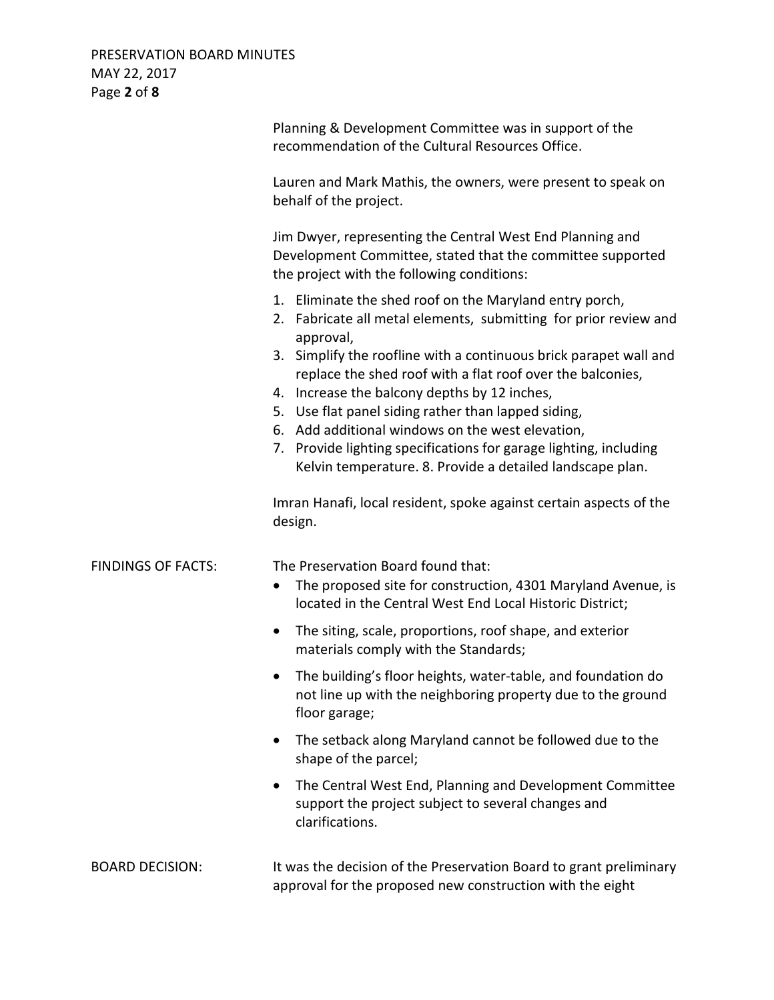| PRESERVATION BOARD MINUTES<br>MAY 22, 2017<br>Page 2 of 8 |                                                                                                                                                                                                                                                                                                                                                                                                                                 |
|-----------------------------------------------------------|---------------------------------------------------------------------------------------------------------------------------------------------------------------------------------------------------------------------------------------------------------------------------------------------------------------------------------------------------------------------------------------------------------------------------------|
|                                                           | Planning & Development Committee was in support of the<br>recommendation of the Cultural Resources Office.                                                                                                                                                                                                                                                                                                                      |
|                                                           | Lauren and Mark Mathis, the owners, were present to speak on<br>behalf of the project.                                                                                                                                                                                                                                                                                                                                          |
|                                                           | Jim Dwyer, representing the Central West End Planning and<br>Development Committee, stated that the committee supported<br>the project with the following conditions:                                                                                                                                                                                                                                                           |
|                                                           | 1. Eliminate the shed roof on the Maryland entry porch,<br>2. Fabricate all metal elements, submitting for prior review and<br>approval,                                                                                                                                                                                                                                                                                        |
|                                                           | 3. Simplify the roofline with a continuous brick parapet wall and<br>replace the shed roof with a flat roof over the balconies,<br>4. Increase the balcony depths by 12 inches,<br>5. Use flat panel siding rather than lapped siding,<br>6. Add additional windows on the west elevation,<br>Provide lighting specifications for garage lighting, including<br>7.<br>Kelvin temperature. 8. Provide a detailed landscape plan. |
|                                                           | Imran Hanafi, local resident, spoke against certain aspects of the<br>design.                                                                                                                                                                                                                                                                                                                                                   |
| <b>FINDINGS OF FACTS:</b>                                 | The Preservation Board found that:<br>The proposed site for construction, 4301 Maryland Avenue, is<br>located in the Central West End Local Historic District;                                                                                                                                                                                                                                                                  |
|                                                           | The siting, scale, proportions, roof shape, and exterior<br>materials comply with the Standards;                                                                                                                                                                                                                                                                                                                                |
|                                                           | The building's floor heights, water-table, and foundation do<br>$\bullet$<br>not line up with the neighboring property due to the ground<br>floor garage;                                                                                                                                                                                                                                                                       |
|                                                           | The setback along Maryland cannot be followed due to the<br>shape of the parcel;                                                                                                                                                                                                                                                                                                                                                |
|                                                           | The Central West End, Planning and Development Committee<br>$\bullet$<br>support the project subject to several changes and<br>clarifications.                                                                                                                                                                                                                                                                                  |
| <b>BOARD DECISION:</b>                                    | It was the decision of the Preservation Board to grant preliminary<br>approval for the proposed new construction with the eight                                                                                                                                                                                                                                                                                                 |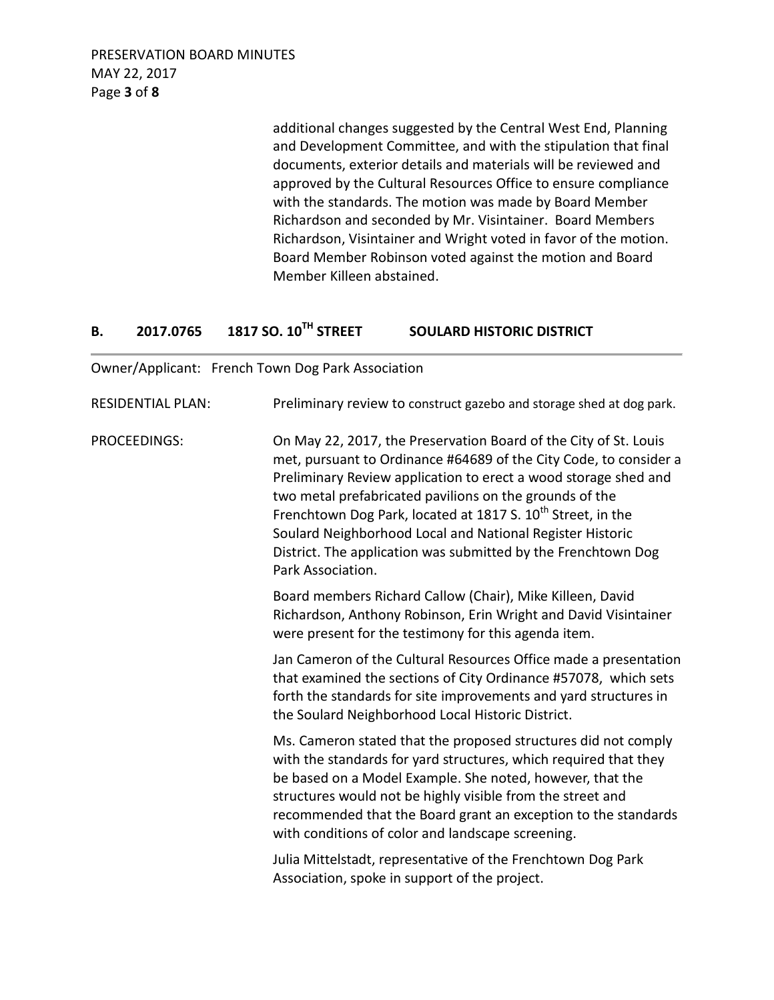PRESERVATION BOARD MINUTES MAY 22, 2017 Page **3** of **8**

> additional changes suggested by the Central West End, Planning and Development Committee, and with the stipulation that final documents, exterior details and materials will be reviewed and approved by the Cultural Resources Office to ensure compliance with the standards. The motion was made by Board Member Richardson and seconded by Mr. Visintainer. Board Members Richardson, Visintainer and Wright voted in favor of the motion. Board Member Robinson voted against the motion and Board Member Killeen abstained.

## **B. 2017.0765 1817 SO. 10TH STREET SOULARD HISTORIC DISTRICT**

Owner/Applicant: French Town Dog Park Association

RESIDENTIAL PLAN: Preliminary review to construct gazebo and storage shed at dog park. PROCEEDINGS: On May 22, 2017, the Preservation Board of the City of St. Louis met, pursuant to Ordinance #64689 of the City Code, to consider a Preliminary Review application to erect a wood storage shed and two metal prefabricated pavilions on the grounds of the Frenchtown Dog Park, located at 1817 S. 10<sup>th</sup> Street, in the Soulard Neighborhood Local and National Register Historic District. The application was submitted by the Frenchtown Dog Park Association. Board members Richard Callow (Chair), Mike Killeen, David Richardson, Anthony Robinson, Erin Wright and David Visintainer were present for the testimony for this agenda item. Jan Cameron of the Cultural Resources Office made a presentation that examined the sections of City Ordinance #57078, which sets forth the standards for site improvements and yard structures in the Soulard Neighborhood Local Historic District. Ms. Cameron stated that the proposed structures did not comply with the standards for yard structures, which required that they be based on a Model Example. She noted, however, that the structures would not be highly visible from the street and recommended that the Board grant an exception to the standards with conditions of color and landscape screening. Julia Mittelstadt, representative of the Frenchtown Dog Park Association, spoke in support of the project.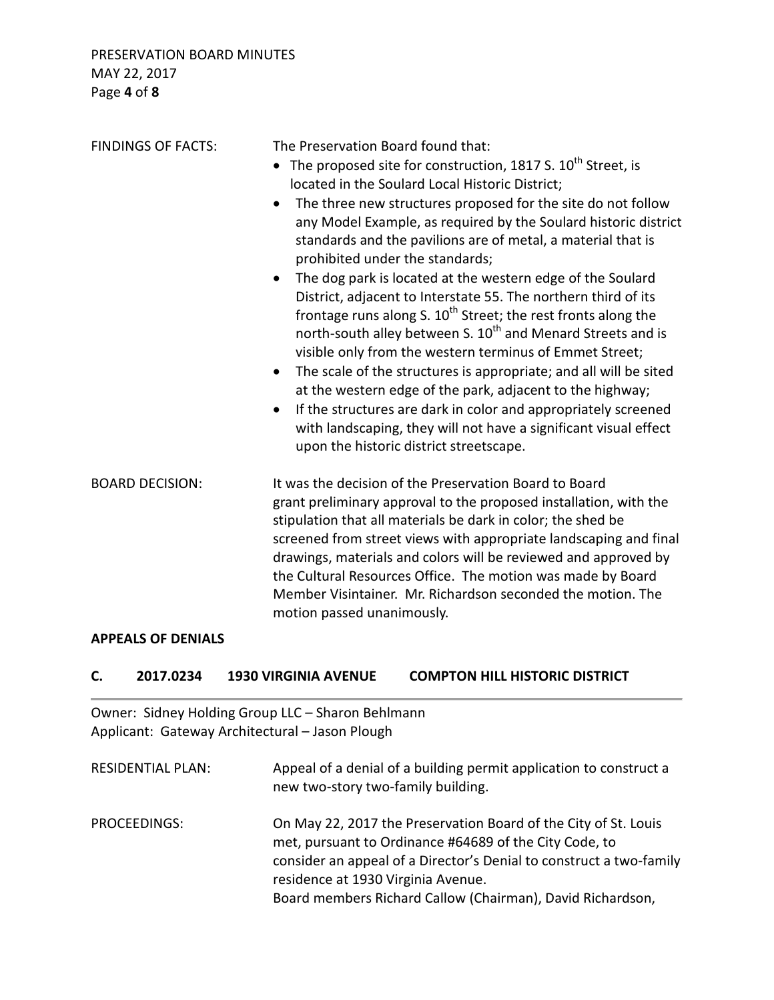| <b>FINDINGS OF FACTS:</b> | The Preservation Board found that:<br>The proposed site for construction, 1817 S. 10 <sup>th</sup> Street, is<br>located in the Soulard Local Historic District;<br>The three new structures proposed for the site do not follow<br>$\bullet$<br>any Model Example, as required by the Soulard historic district<br>standards and the pavilions are of metal, a material that is<br>prohibited under the standards;<br>The dog park is located at the western edge of the Soulard<br>$\bullet$<br>District, adjacent to Interstate 55. The northern third of its<br>frontage runs along S. $10^{th}$ Street; the rest fronts along the<br>north-south alley between S. 10 <sup>th</sup> and Menard Streets and is<br>visible only from the western terminus of Emmet Street;<br>The scale of the structures is appropriate; and all will be sited<br>$\bullet$<br>at the western edge of the park, adjacent to the highway;<br>If the structures are dark in color and appropriately screened<br>$\bullet$<br>with landscaping, they will not have a significant visual effect<br>upon the historic district streetscape. |
|---------------------------|---------------------------------------------------------------------------------------------------------------------------------------------------------------------------------------------------------------------------------------------------------------------------------------------------------------------------------------------------------------------------------------------------------------------------------------------------------------------------------------------------------------------------------------------------------------------------------------------------------------------------------------------------------------------------------------------------------------------------------------------------------------------------------------------------------------------------------------------------------------------------------------------------------------------------------------------------------------------------------------------------------------------------------------------------------------------------------------------------------------------------|
| <b>BOARD DECISION:</b>    | It was the decision of the Preservation Board to Board<br>grant preliminary approval to the proposed installation, with the<br>stipulation that all materials be dark in color; the shed be<br>screened from street views with appropriate landscaping and final<br>drawings, materials and colors will be reviewed and approved by<br>the Cultural Resources Office. The motion was made by Board<br>Member Visintainer. Mr. Richardson seconded the motion. The                                                                                                                                                                                                                                                                                                                                                                                                                                                                                                                                                                                                                                                         |

### **APPEALS OF DENIALS**

### **C. 2017.0234 1930 VIRGINIA AVENUE COMPTON HILL HISTORIC DISTRICT**

motion passed unanimously.

Owner: Sidney Holding Group LLC – Sharon Behlmann Applicant: Gateway Architectural – Jason Plough

RESIDENTIAL PLAN: Appeal of a denial of a building permit application to construct a new two-story two-family building. PROCEEDINGS: On May 22, 2017 the Preservation Board of the City of St. Louis met, pursuant to Ordinance #64689 of the City Code, to consider an appeal of a Director's Denial to construct a two-family residence at 1930 Virginia Avenue. Board members Richard Callow (Chairman), David Richardson,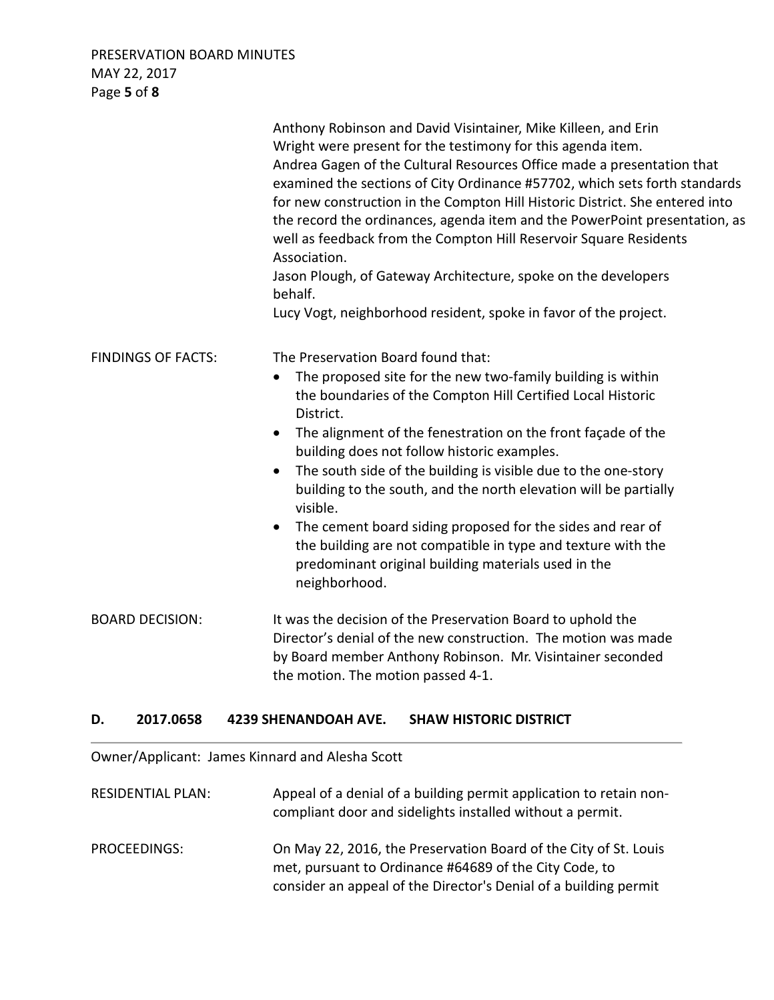# PRESERVATION BOARD MINUTES MAY 22, 2017 Page **5** of **8**

|                           | Anthony Robinson and David Visintainer, Mike Killeen, and Erin<br>Wright were present for the testimony for this agenda item.<br>Andrea Gagen of the Cultural Resources Office made a presentation that<br>examined the sections of City Ordinance #57702, which sets forth standards<br>for new construction in the Compton Hill Historic District. She entered into<br>the record the ordinances, agenda item and the PowerPoint presentation, as<br>well as feedback from the Compton Hill Reservoir Square Residents<br>Association.<br>Jason Plough, of Gateway Architecture, spoke on the developers<br>behalf.<br>Lucy Vogt, neighborhood resident, spoke in favor of the project. |
|---------------------------|-------------------------------------------------------------------------------------------------------------------------------------------------------------------------------------------------------------------------------------------------------------------------------------------------------------------------------------------------------------------------------------------------------------------------------------------------------------------------------------------------------------------------------------------------------------------------------------------------------------------------------------------------------------------------------------------|
| <b>FINDINGS OF FACTS:</b> | The Preservation Board found that:<br>The proposed site for the new two-family building is within<br>the boundaries of the Compton Hill Certified Local Historic<br>District.<br>The alignment of the fenestration on the front façade of the<br>$\bullet$<br>building does not follow historic examples.<br>The south side of the building is visible due to the one-story<br>٠<br>building to the south, and the north elevation will be partially<br>visible.<br>The cement board siding proposed for the sides and rear of<br>$\bullet$<br>the building are not compatible in type and texture with the<br>predominant original building materials used in the<br>neighborhood.       |
| <b>BOARD DECISION:</b>    | It was the decision of the Preservation Board to uphold the<br>Director's denial of the new construction. The motion was made<br>by Board member Anthony Robinson. Mr. Visintainer seconded<br>the motion. The motion passed 4-1.                                                                                                                                                                                                                                                                                                                                                                                                                                                         |

## **D. 2017.0658 4239 SHENANDOAH AVE. SHAW HISTORIC DISTRICT**

Owner/Applicant: James Kinnard and Alesha Scott

| <b>RESIDENTIAL PLAN:</b> | Appeal of a denial of a building permit application to retain non-<br>compliant door and sidelights installed without a permit.                                                                |
|--------------------------|------------------------------------------------------------------------------------------------------------------------------------------------------------------------------------------------|
| PROCEEDINGS:             | On May 22, 2016, the Preservation Board of the City of St. Louis<br>met, pursuant to Ordinance #64689 of the City Code, to<br>consider an appeal of the Director's Denial of a building permit |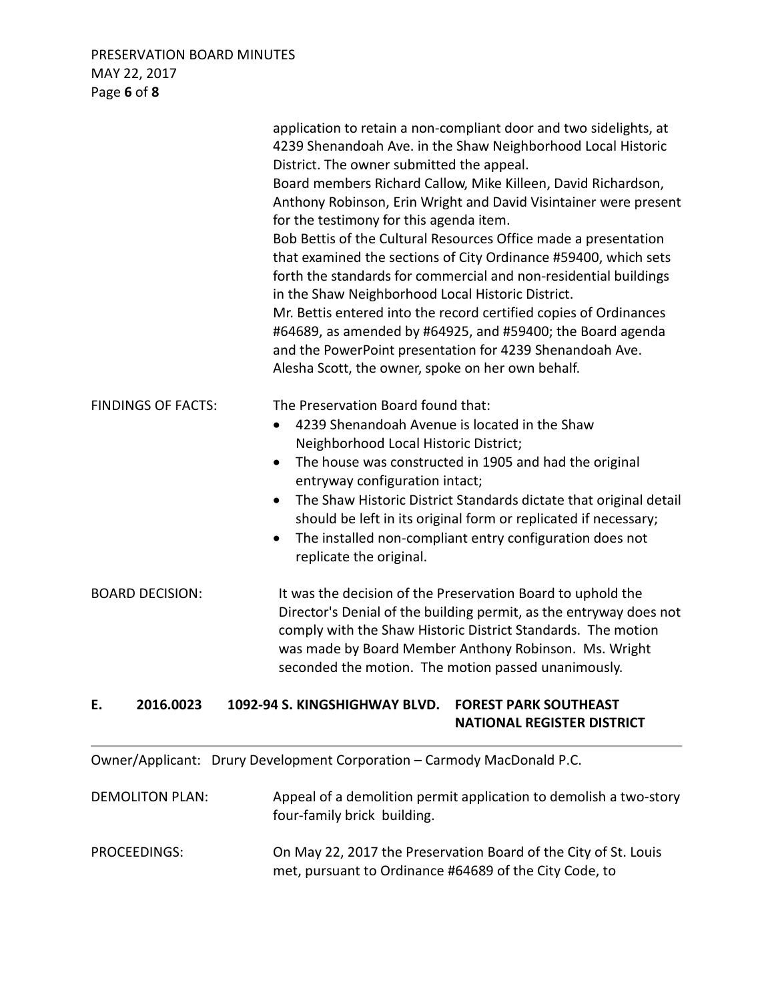# PRESERVATION BOARD MINUTES MAY 22, 2017 Page **6** of **8**

|                           | application to retain a non-compliant door and two sidelights, at<br>4239 Shenandoah Ave. in the Shaw Neighborhood Local Historic<br>District. The owner submitted the appeal.<br>Board members Richard Callow, Mike Killeen, David Richardson,<br>Anthony Robinson, Erin Wright and David Visintainer were present<br>for the testimony for this agenda item.<br>Bob Bettis of the Cultural Resources Office made a presentation<br>that examined the sections of City Ordinance #59400, which sets<br>forth the standards for commercial and non-residential buildings<br>in the Shaw Neighborhood Local Historic District.<br>Mr. Bettis entered into the record certified copies of Ordinances<br>#64689, as amended by #64925, and #59400; the Board agenda<br>and the PowerPoint presentation for 4239 Shenandoah Ave.<br>Alesha Scott, the owner, spoke on her own behalf. |
|---------------------------|-----------------------------------------------------------------------------------------------------------------------------------------------------------------------------------------------------------------------------------------------------------------------------------------------------------------------------------------------------------------------------------------------------------------------------------------------------------------------------------------------------------------------------------------------------------------------------------------------------------------------------------------------------------------------------------------------------------------------------------------------------------------------------------------------------------------------------------------------------------------------------------|
| <b>FINDINGS OF FACTS:</b> | The Preservation Board found that:<br>4239 Shenandoah Avenue is located in the Shaw<br>$\bullet$<br>Neighborhood Local Historic District;<br>The house was constructed in 1905 and had the original<br>$\bullet$<br>entryway configuration intact;<br>The Shaw Historic District Standards dictate that original detail<br>$\bullet$<br>should be left in its original form or replicated if necessary;<br>The installed non-compliant entry configuration does not<br>replicate the original.                                                                                                                                                                                                                                                                                                                                                                                    |
| <b>BOARD DECISION:</b>    | It was the decision of the Preservation Board to uphold the<br>Director's Denial of the building permit, as the entryway does not<br>comply with the Shaw Historic District Standards. The motion<br>was made by Board Member Anthony Robinson. Ms. Wright<br>seconded the motion. The motion passed unanimously.                                                                                                                                                                                                                                                                                                                                                                                                                                                                                                                                                                 |
| 2016.0023<br>Ε.           | 1092-94 S. KINGSHIGHWAY BLVD.<br><b>FOREST PARK SOUTHEAST</b><br><b>NATIONAL REGISTER DISTRICT</b>                                                                                                                                                                                                                                                                                                                                                                                                                                                                                                                                                                                                                                                                                                                                                                                |
|                           | Owner/Applicant: Drury Development Corporation - Carmody MacDonald P.C.                                                                                                                                                                                                                                                                                                                                                                                                                                                                                                                                                                                                                                                                                                                                                                                                           |
| <b>DEMOLITON PLAN:</b>    | Appeal of a demolition permit application to demolish a two-story<br>four-family brick building.                                                                                                                                                                                                                                                                                                                                                                                                                                                                                                                                                                                                                                                                                                                                                                                  |

| PROCEEDINGS: | On May 22, 2017 the Preservation Board of the City of St. Louis |
|--------------|-----------------------------------------------------------------|
|              | met, pursuant to Ordinance #64689 of the City Code, to          |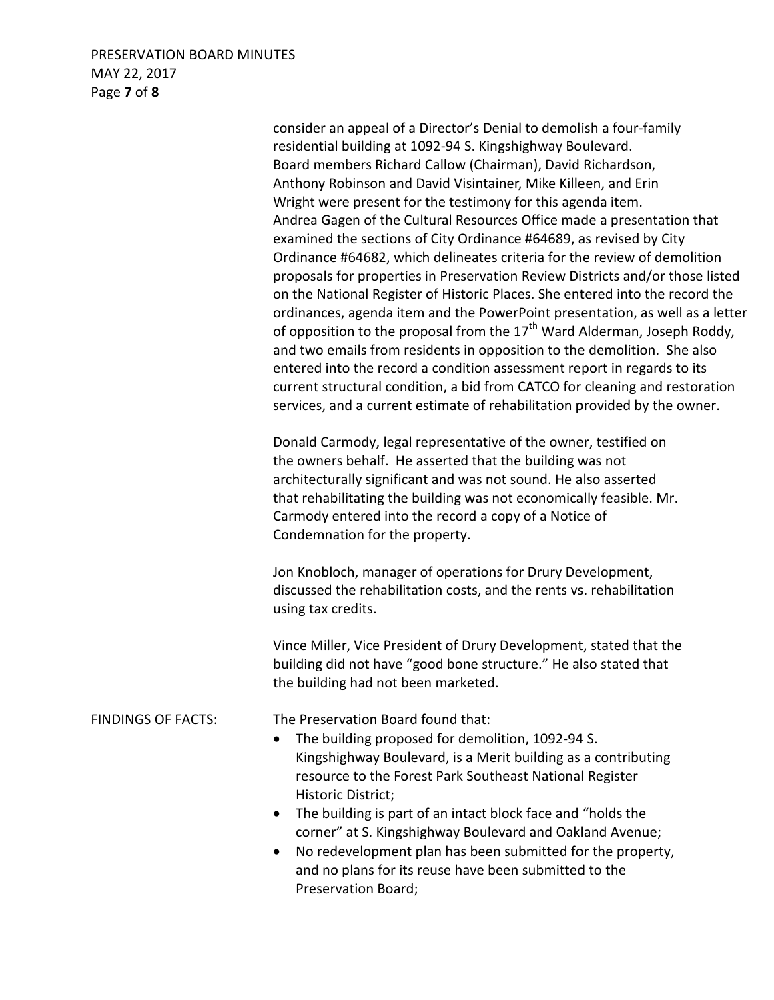### PRESERVATION BOARD MINUTES MAY 22, 2017 Page **7** of **8**

 consider an appeal of a Director's Denial to demolish a four-family residential building at 1092-94 S. Kingshighway Boulevard. Board members Richard Callow (Chairman), David Richardson, Anthony Robinson and David Visintainer, Mike Killeen, and Erin Wright were present for the testimony for this agenda item. Andrea Gagen of the Cultural Resources Office made a presentation that examined the sections of City Ordinance #64689, as revised by City Ordinance #64682, which delineates criteria for the review of demolition proposals for properties in Preservation Review Districts and/or those listed on the National Register of Historic Places. She entered into the record the ordinances, agenda item and the PowerPoint presentation, as well as a letter of opposition to the proposal from the  $17<sup>th</sup>$  Ward Alderman, Joseph Roddy, and two emails from residents in opposition to the demolition. She also entered into the record a condition assessment report in regards to its current structural condition, a bid from CATCO for cleaning and restoration services, and a current estimate of rehabilitation provided by the owner.

Donald Carmody, legal representative of the owner, testified on the owners behalf. He asserted that the building was not architecturally significant and was not sound. He also asserted that rehabilitating the building was not economically feasible. Mr. Carmody entered into the record a copy of a Notice of Condemnation for the property.

Jon Knobloch, manager of operations for Drury Development, discussed the rehabilitation costs, and the rents vs. rehabilitation using tax credits.

Vince Miller, Vice President of Drury Development, stated that the building did not have "good bone structure." He also stated that the building had not been marketed.

### FINDINGS OF FACTS: The Preservation Board found that:

- The building proposed for demolition, 1092-94 S. Kingshighway Boulevard, is a Merit building as a contributing resource to the Forest Park Southeast National Register Historic District;
- The building is part of an intact block face and "holds the corner" at S. Kingshighway Boulevard and Oakland Avenue;
- No redevelopment plan has been submitted for the property, and no plans for its reuse have been submitted to the Preservation Board;